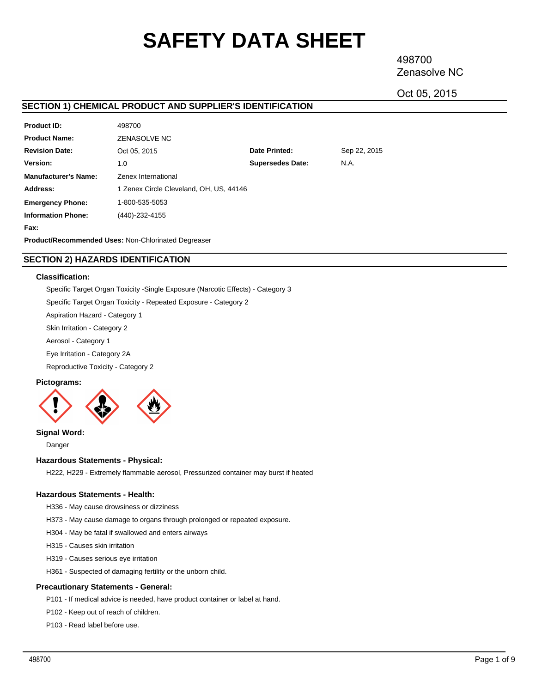# **SAFETY DATA SHEET**

498700 Zenasolve NC

Oct 05, 2015

# **SECTION 1) CHEMICAL PRODUCT AND SUPPLIER'S IDENTIFICATION**

| <b>Product ID:</b>          | 498700                                  |                         |              |  |  |
|-----------------------------|-----------------------------------------|-------------------------|--------------|--|--|
| <b>Product Name:</b>        | ZENASOLVE NC                            |                         |              |  |  |
| <b>Revision Date:</b>       | Oct 05, 2015                            | Date Printed:           | Sep 22, 2015 |  |  |
| Version:                    | 1.0                                     | <b>Supersedes Date:</b> | N.A.         |  |  |
| <b>Manufacturer's Name:</b> | Zenex International                     |                         |              |  |  |
| Address:                    | 1 Zenex Circle Cleveland, OH, US, 44146 |                         |              |  |  |
| <b>Emergency Phone:</b>     | 1-800-535-5053                          |                         |              |  |  |
| <b>Information Phone:</b>   | (440)-232-4155                          |                         |              |  |  |
| Fax:                        |                                         |                         |              |  |  |

**Product/Recommended Uses:** Non-Chlorinated Degreaser

# **SECTION 2) HAZARDS IDENTIFICATION**

# **Classification:**

Specific Target Organ Toxicity -Single Exposure (Narcotic Effects) - Category 3

Specific Target Organ Toxicity - Repeated Exposure - Category 2

Aspiration Hazard - Category 1

Skin Irritation - Category 2

Aerosol - Category 1

Eye Irritation - Category 2A

Reproductive Toxicity - Category 2

# **Pictograms:**



**Signal Word:**

Danger

# **Hazardous Statements - Physical:**

H222, H229 - Extremely flammable aerosol, Pressurized container may burst if heated

# **Hazardous Statements - Health:**

H336 - May cause drowsiness or dizziness

H373 - May cause damage to organs through prolonged or repeated exposure.

- H304 May be fatal if swallowed and enters airways
- H315 Causes skin irritation
- H319 Causes serious eye irritation
- H361 Suspected of damaging fertility or the unborn child.

# **Precautionary Statements - General:**

P101 - If medical advice is needed, have product container or label at hand.

P102 - Keep out of reach of children.

P103 - Read label before use.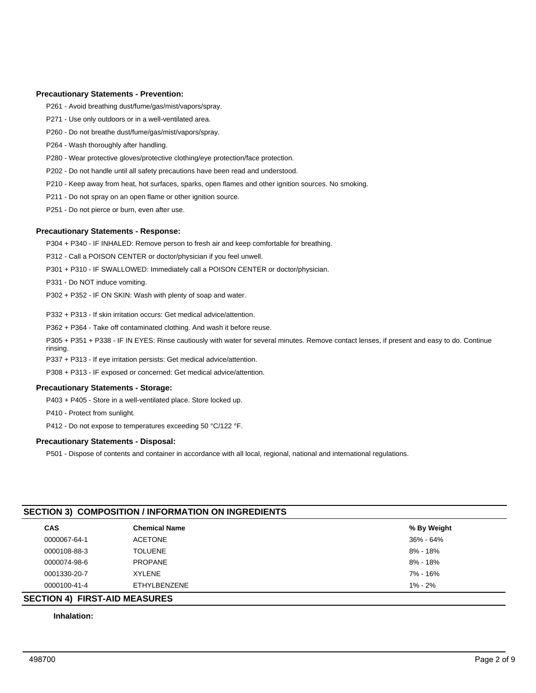# **Precautionary Statements - Prevention:**

P261 - Avoid breathing dust/fume/gas/mist/vapors/spray.

- P271 Use only outdoors or in a well-ventilated area.
- P260 Do not breathe dust/fume/gas/mist/vapors/spray.
- P264 Wash thoroughly after handling.
- P280 Wear protective gloves/protective clothing/eye protection/face protection.
- P202 Do not handle until all safety precautions have been read and understood.
- P210 Keep away from heat, hot surfaces, sparks, open flames and other ignition sources. No smoking.
- P211 Do not spray on an open flame or other ignition source.
- P251 Do not pierce or burn, even after use.

# **Precautionary Statements - Response:**

P304 + P340 - IF INHALED: Remove person to fresh air and keep comfortable for breathing.

- P312 Call a POISON CENTER or doctor/physician if you feel unwell.
- P301 + P310 IF SWALLOWED: Immediately call a POISON CENTER or doctor/physician.
- P331 Do NOT induce vomiting.
- P302 + P352 IF ON SKIN: Wash with plenty of soap and water.
- P332 + P313 If skin irritation occurs: Get medical advice/attention.
- P362 + P364 Take off contaminated clothing. And wash it before reuse.
- P305 + P351 + P338 IF IN EYES: Rinse cautiously with water for several minutes. Remove contact lenses, if present and easy to do. Continue rinsing.
- P337 + P313 If eye irritation persists: Get medical advice/attention.
- P308 + P313 IF exposed or concerned: Get medical advice/attention.

# **Precautionary Statements - Storage:**

- P403 + P405 Store in a well-ventilated place. Store locked up.
- P410 Protect from sunlight.
- P412 Do not expose to temperatures exceeding 50 °C/122 °F.

# **Precautionary Statements - Disposal:**

P501 - Dispose of contents and container in accordance with all local, regional, national and international regulations.

| <b>CAS</b>   | <b>Chemical Name</b> | % By Weight   |
|--------------|----------------------|---------------|
| 0000067-64-1 | ACETONE              | $36\% - 64\%$ |
| 0000108-88-3 | <b>TOLUENE</b>       | $8\% - 18\%$  |
| 0000074-98-6 | <b>PROPANE</b>       | $8\% - 18\%$  |
| 0001330-20-7 | <b>XYLENE</b>        | 7% - 16%      |
| 0000100-41-4 | <b>ETHYLBENZENE</b>  | $1\% - 2\%$   |

# **Inhalation:**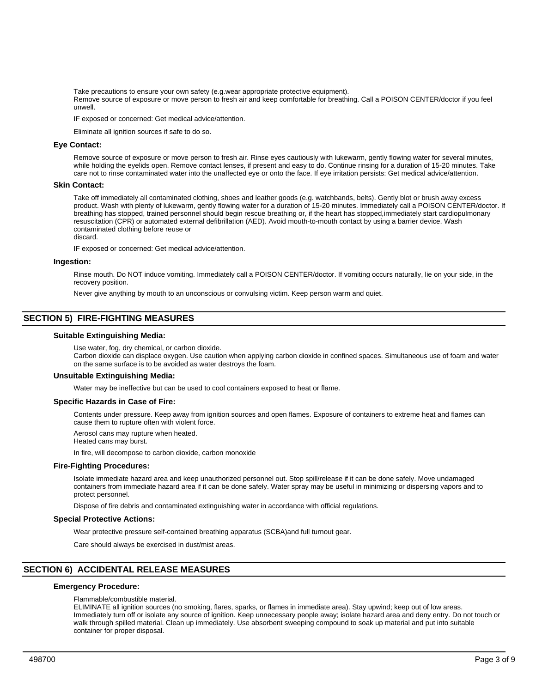Take precautions to ensure your own safety (e.g.wear appropriate protective equipment).

Remove source of exposure or move person to fresh air and keep comfortable for breathing. Call a POISON CENTER/doctor if you feel unwell.

IF exposed or concerned: Get medical advice/attention.

Eliminate all ignition sources if safe to do so.

#### **Eye Contact:**

Remove source of exposure or move person to fresh air. Rinse eyes cautiously with lukewarm, gently flowing water for several minutes, while holding the eyelids open. Remove contact lenses, if present and easy to do. Continue rinsing for a duration of 15-20 minutes. Take care not to rinse contaminated water into the unaffected eye or onto the face. If eye irritation persists: Get medical advice/attention.

#### **Skin Contact:**

Take off immediately all contaminated clothing, shoes and leather goods (e.g. watchbands, belts). Gently blot or brush away excess product. Wash with plenty of lukewarm, gently flowing water for a duration of 15-20 minutes. Immediately call a POISON CENTER/doctor. If breathing has stopped, trained personnel should begin rescue breathing or, if the heart has stopped,immediately start cardiopulmonary resuscitation (CPR) or automated external defibrillation (AED). Avoid mouth-to-mouth contact by using a barrier device. Wash contaminated clothing before reuse or

discard.

IF exposed or concerned: Get medical advice/attention.

#### **Ingestion:**

Rinse mouth. Do NOT induce vomiting. Immediately call a POISON CENTER/doctor. If vomiting occurs naturally, lie on your side, in the recovery position.

Never give anything by mouth to an unconscious or convulsing victim. Keep person warm and quiet.

# **SECTION 5) FIRE-FIGHTING MEASURES**

#### **Suitable Extinguishing Media:**

Use water, fog, dry chemical, or carbon dioxide.

Carbon dioxide can displace oxygen. Use caution when applying carbon dioxide in confined spaces. Simultaneous use of foam and water on the same surface is to be avoided as water destroys the foam.

#### **Unsuitable Extinguishing Media:**

Water may be ineffective but can be used to cool containers exposed to heat or flame.

#### **Specific Hazards in Case of Fire:**

Contents under pressure. Keep away from ignition sources and open flames. Exposure of containers to extreme heat and flames can cause them to rupture often with violent force.

Aerosol cans may rupture when heated.

Heated cans may burst.

In fire, will decompose to carbon dioxide, carbon monoxide

#### **Fire-Fighting Procedures:**

Isolate immediate hazard area and keep unauthorized personnel out. Stop spill/release if it can be done safely. Move undamaged containers from immediate hazard area if it can be done safely. Water spray may be useful in minimizing or dispersing vapors and to protect personnel.

Dispose of fire debris and contaminated extinguishing water in accordance with official regulations.

#### **Special Protective Actions:**

Wear protective pressure self-contained breathing apparatus (SCBA)and full turnout gear.

Care should always be exercised in dust/mist areas.

# **SECTION 6) ACCIDENTAL RELEASE MEASURES**

# **Emergency Procedure:**

Flammable/combustible material.

ELIMINATE all ignition sources (no smoking, flares, sparks, or flames in immediate area). Stay upwind; keep out of low areas. Immediately turn off or isolate any source of ignition. Keep unnecessary people away; isolate hazard area and deny entry. Do not touch or walk through spilled material. Clean up immediately. Use absorbent sweeping compound to soak up material and put into suitable container for proper disposal.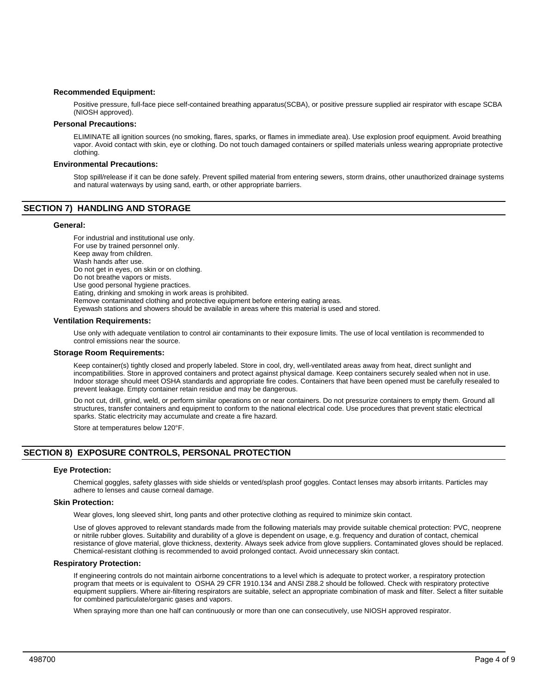# **Recommended Equipment:**

Positive pressure, full-face piece self-contained breathing apparatus(SCBA), or positive pressure supplied air respirator with escape SCBA (NIOSH approved).

# **Personal Precautions:**

ELIMINATE all ignition sources (no smoking, flares, sparks, or flames in immediate area). Use explosion proof equipment. Avoid breathing vapor. Avoid contact with skin, eye or clothing. Do not touch damaged containers or spilled materials unless wearing appropriate protective clothing.

# **Environmental Precautions:**

Stop spill/release if it can be done safely. Prevent spilled material from entering sewers, storm drains, other unauthorized drainage systems and natural waterways by using sand, earth, or other appropriate barriers.

# **SECTION 7) HANDLING AND STORAGE**

#### **General:**

For industrial and institutional use only. For use by trained personnel only. Keep away from children. Wash hands after use. Do not get in eyes, on skin or on clothing. Do not breathe vapors or mists. Use good personal hygiene practices. Eating, drinking and smoking in work areas is prohibited. Remove contaminated clothing and protective equipment before entering eating areas. Eyewash stations and showers should be available in areas where this material is used and stored.

#### **Ventilation Requirements:**

Use only with adequate ventilation to control air contaminants to their exposure limits. The use of local ventilation is recommended to control emissions near the source.

#### **Storage Room Requirements:**

Keep container(s) tightly closed and properly labeled. Store in cool, dry, well-ventilated areas away from heat, direct sunlight and incompatibilities. Store in approved containers and protect against physical damage. Keep containers securely sealed when not in use. Indoor storage should meet OSHA standards and appropriate fire codes. Containers that have been opened must be carefully resealed to prevent leakage. Empty container retain residue and may be dangerous.

Do not cut, drill, grind, weld, or perform similar operations on or near containers. Do not pressurize containers to empty them. Ground all structures, transfer containers and equipment to conform to the national electrical code. Use procedures that prevent static electrical sparks. Static electricity may accumulate and create a fire hazard.

Store at temperatures below 120°F.

# **SECTION 8) EXPOSURE CONTROLS, PERSONAL PROTECTION**

#### **Eye Protection:**

Chemical goggles, safety glasses with side shields or vented/splash proof goggles. Contact lenses may absorb irritants. Particles may adhere to lenses and cause corneal damage.

# **Skin Protection:**

Wear gloves, long sleeved shirt, long pants and other protective clothing as required to minimize skin contact.

Use of gloves approved to relevant standards made from the following materials may provide suitable chemical protection: PVC, neoprene or nitrile rubber gloves. Suitability and durability of a glove is dependent on usage, e.g. frequency and duration of contact, chemical resistance of glove material, glove thickness, dexterity. Always seek advice from glove suppliers. Contaminated gloves should be replaced. Chemical-resistant clothing is recommended to avoid prolonged contact. Avoid unnecessary skin contact.

#### **Respiratory Protection:**

If engineering controls do not maintain airborne concentrations to a level which is adequate to protect worker, a respiratory protection program that meets or is equivalent to OSHA 29 CFR 1910.134 and ANSI Z88.2 should be followed. Check with respiratory protective equipment suppliers. Where air-filtering respirators are suitable, select an appropriate combination of mask and filter. Select a filter suitable for combined particulate/organic gases and vapors.

When spraying more than one half can continuously or more than one can consecutively, use NIOSH approved respirator.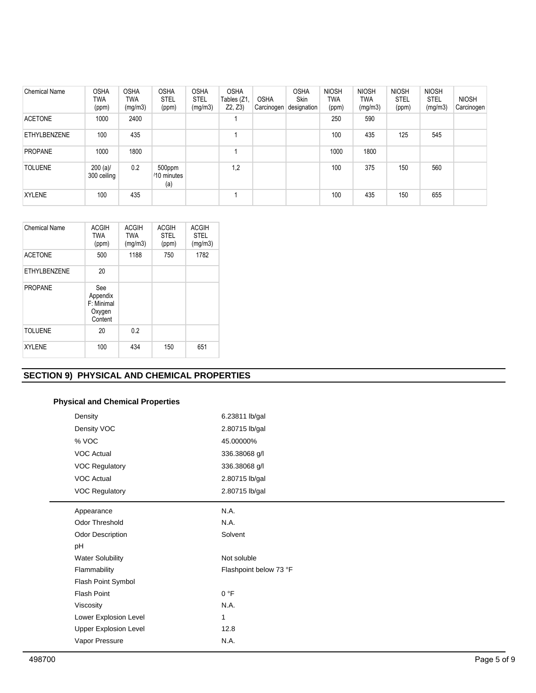| <b>Chemical Name</b> | <b>OSHA</b><br>TWA<br>(ppm) | <b>OSHA</b><br>TWA<br>(mg/m3) | <b>OSHA</b><br><b>STEL</b><br>(ppm) | <b>OSHA</b><br><b>STEL</b><br>(mg/m3) | <b>OSHA</b><br>Tables (Z1,<br>Z2, Z3 | <b>OSHA</b><br>Carcinogen | <b>OSHA</b><br>Skin<br>designation | <b>NIOSH</b><br>TWA<br>(ppm) | <b>NIOSH</b><br>TWA<br>(mg/m3) | <b>NIOSH</b><br><b>STEL</b><br>(ppm) | <b>NIOSH</b><br><b>STEL</b><br>(mg/m3) | <b>NIOSH</b><br>Carcinogen |
|----------------------|-----------------------------|-------------------------------|-------------------------------------|---------------------------------------|--------------------------------------|---------------------------|------------------------------------|------------------------------|--------------------------------|--------------------------------------|----------------------------------------|----------------------------|
| <b>ACETONE</b>       | 1000                        | 2400                          |                                     |                                       |                                      |                           |                                    | 250                          | 590                            |                                      |                                        |                            |
| ETHYLBENZENE         | 100                         | 435                           |                                     |                                       |                                      |                           |                                    | 100                          | 435                            | 125                                  | 545                                    |                            |
| <b>PROPANE</b>       | 1000                        | 1800                          |                                     |                                       |                                      |                           |                                    | 1000                         | 1800                           |                                      |                                        |                            |
| <b>TOLUENE</b>       | $200 (a)$ /<br>300 ceiling  | 0.2                           | 500ppm<br>/10 minutes<br>(a)        |                                       | 1,2                                  |                           |                                    | 100                          | 375                            | 150                                  | 560                                    |                            |
| <b>XYLENE</b>        | 100                         | 435                           |                                     |                                       |                                      |                           |                                    | 100                          | 435                            | 150                                  | 655                                    |                            |

| <b>Chemical Name</b> | <b>ACGIH</b><br><b>TWA</b><br>(ppm)                | <b>ACGIH</b><br><b>TWA</b><br>(mg/m3) | <b>ACGIH</b><br><b>STEL</b><br>(ppm) | <b>ACGIH</b><br><b>STEL</b><br>(mg/m3) |
|----------------------|----------------------------------------------------|---------------------------------------|--------------------------------------|----------------------------------------|
| <b>ACETONE</b>       | 500                                                | 1188                                  | 750                                  | 1782                                   |
| <b>ETHYLBENZENE</b>  | 20                                                 |                                       |                                      |                                        |
| <b>PROPANE</b>       | See<br>Appendix<br>F: Minimal<br>Oxygen<br>Content |                                       |                                      |                                        |
| <b>TOLUENE</b>       | 20                                                 | 0.2                                   |                                      |                                        |
| <b>XYLENE</b>        | 100                                                | 434                                   | 150                                  | 651                                    |

# **SECTION 9) PHYSICAL AND CHEMICAL PROPERTIES**

# **Physical and Chemical Properties**

| Density                      | 6.23811 lb/gal         |
|------------------------------|------------------------|
| Density VOC                  | 2.80715 lb/gal         |
| % VOC                        | 45.00000%              |
| <b>VOC Actual</b>            | 336.38068 g/l          |
| <b>VOC Regulatory</b>        | 336.38068 g/l          |
| <b>VOC Actual</b>            | 2.80715 lb/gal         |
| <b>VOC Regulatory</b>        | 2.80715 lb/gal         |
| Appearance                   | N.A.                   |
| <b>Odor Threshold</b>        | N.A.                   |
| <b>Odor Description</b>      | Solvent                |
| pH                           |                        |
| <b>Water Solubility</b>      | Not soluble            |
| Flammability                 | Flashpoint below 73 °F |
| Flash Point Symbol           |                        |
| <b>Flash Point</b>           | 0 °F                   |
| Viscosity                    | N.A.                   |
| Lower Explosion Level        | 1                      |
| <b>Upper Explosion Level</b> | 12.8                   |
| Vapor Pressure               | N.A.                   |
|                              |                        |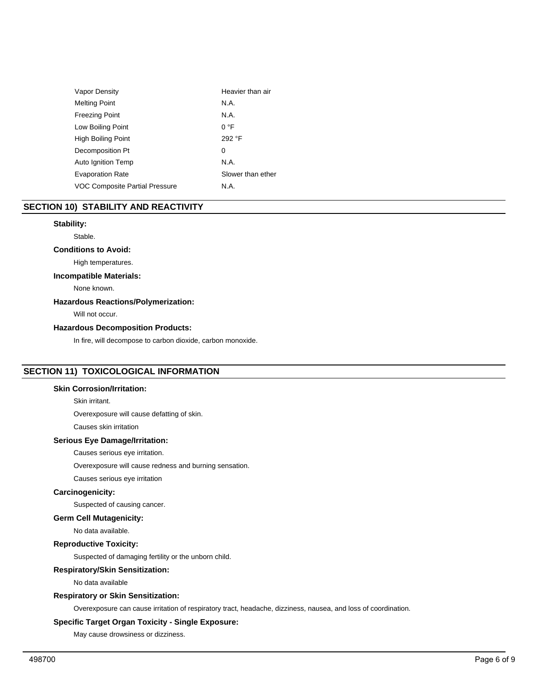| Vapor Density                  | Heavier than air  |
|--------------------------------|-------------------|
| <b>Melting Point</b>           | N.A.              |
| <b>Freezing Point</b>          | N.A.              |
| Low Boiling Point              | 0 °F              |
| <b>High Boiling Point</b>      | 292 °F            |
| Decomposition Pt               | 0                 |
| Auto Ignition Temp             | N.A.              |
| <b>Evaporation Rate</b>        | Slower than ether |
| VOC Composite Partial Pressure | N.A.              |

# **SECTION 10) STABILITY AND REACTIVITY**

# **Stability:**

Stable.

# **Conditions to Avoid:**

High temperatures.

# **Incompatible Materials:**

None known.

# **Hazardous Reactions/Polymerization:**

Will not occur.

# **Hazardous Decomposition Products:**

In fire, will decompose to carbon dioxide, carbon monoxide.

# **SECTION 11) TOXICOLOGICAL INFORMATION**

# **Skin Corrosion/Irritation:**

Skin irritant.

Overexposure will cause defatting of skin.

Causes skin irritation

# **Serious Eye Damage/Irritation:**

Causes serious eye irritation.

Overexposure will cause redness and burning sensation.

Causes serious eye irritation

# **Carcinogenicity:**

Suspected of causing cancer.

**Germ Cell Mutagenicity:**

No data available.

# **Reproductive Toxicity:**

Suspected of damaging fertility or the unborn child.

# **Respiratory/Skin Sensitization:**

No data available

# **Respiratory or Skin Sensitization:**

Overexposure can cause irritation of respiratory tract, headache, dizziness, nausea, and loss of coordination.

# **Specific Target Organ Toxicity - Single Exposure:**

May cause drowsiness or dizziness.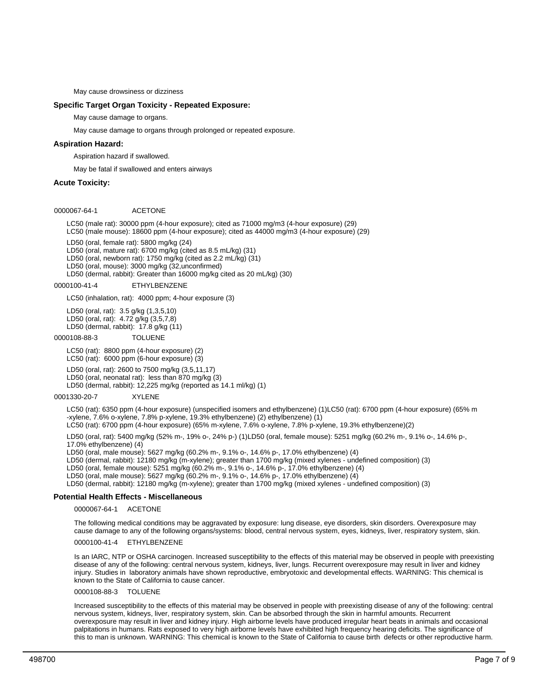May cause drowsiness or dizziness

# **Specific Target Organ Toxicity - Repeated Exposure:**

May cause damage to organs.

May cause damage to organs through prolonged or repeated exposure.

# **Aspiration Hazard:**

Aspiration hazard if swallowed.

May be fatal if swallowed and enters airways

# **Acute Toxicity:**

0000067-64-1 ACETONE

LC50 (male rat): 30000 ppm (4-hour exposure); cited as 71000 mg/m3 (4-hour exposure) (29) LC50 (male mouse): 18600 ppm (4-hour exposure); cited as 44000 mg/m3 (4-hour exposure) (29)

LD50 (oral, female rat): 5800 mg/kg (24)

LD50 (oral, mature rat): 6700 mg/kg (cited as 8.5 mL/kg) (31)

LD50 (oral, newborn rat): 1750 mg/kg (cited as 2.2 mL/kg) (31)

LD50 (oral, mouse): 3000 mg/kg (32,unconfirmed)

LD50 (dermal, rabbit): Greater than 16000 mg/kg cited as 20 mL/kg) (30)

# 0000100-41-4 ETHYLBENZENE

LC50 (inhalation, rat): 4000 ppm; 4-hour exposure (3)

LD50 (oral, rat): 3.5 g/kg (1,3,5,10) LD50 (oral, rat): 4.72 g/kg (3,5,7,8) LD50 (dermal, rabbit): 17.8 g/kg (11)

#### 0000108-88-3 TOLUENE

LC50 (rat): 8800 ppm (4-hour exposure) (2) LC50 (rat): 6000 ppm (6-hour exposure) (3)

LD50 (oral, rat): 2600 to 7500 mg/kg (3,5,11,17) LD50 (oral, neonatal rat): less than 870 mg/kg (3)

LD50 (dermal, rabbit): 12,225 mg/kg (reported as 14.1 ml/kg) (1)

0001330-20-7 XYLENE

LC50 (rat): 6350 ppm (4-hour exposure) (unspecified isomers and ethylbenzene) (1)LC50 (rat): 6700 ppm (4-hour exposure) (65% m -xylene, 7.6% o-xylene, 7.8% p-xylene, 19.3% ethylbenzene) (2) ethylbenzene) (1)

LC50 (rat): 6700 ppm (4-hour exposure) (65% m-xylene, 7.6% o-xylene, 7.8% p-xylene, 19.3% ethylbenzene)(2)

LD50 (oral, rat): 5400 mg/kg (52% m-, 19% o-, 24% p-) (1)LD50 (oral, female mouse): 5251 mg/kg (60.2% m-, 9.1% o-, 14.6% p-, 17.0% ethylbenzene) (4)

LD50 (oral, male mouse): 5627 mg/kg (60.2% m-, 9.1% o-, 14.6% p-, 17.0% ethylbenzene) (4)

LD50 (dermal, rabbit): 12180 mg/kg (m-xylene); greater than 1700 mg/kg (mixed xylenes - undefined composition) (3)

LD50 (oral, female mouse): 5251 mg/kg (60.2% m-, 9.1% o-, 14.6% p-, 17.0% ethylbenzene) (4)

LD50 (oral, male mouse): 5627 mg/kg (60.2% m-, 9.1% o-, 14.6% p-, 17.0% ethylbenzene) (4)

LD50 (dermal, rabbit): 12180 mg/kg (m-xylene); greater than 1700 mg/kg (mixed xylenes - undefined composition) (3)

# **Potential Health Effects - Miscellaneous**

0000067-64-1 ACETONE

The following medical conditions may be aggravated by exposure: lung disease, eye disorders, skin disorders. Overexposure may cause damage to any of the following organs/systems: blood, central nervous system, eyes, kidneys, liver, respiratory system, skin.

0000100-41-4 ETHYLBENZENE

Is an IARC, NTP or OSHA carcinogen. Increased susceptibility to the effects of this material may be observed in people with preexisting disease of any of the following: central nervous system, kidneys, liver, lungs. Recurrent overexposure may result in liver and kidney injury. Studies in laboratory animals have shown reproductive, embryotoxic and developmental effects. WARNING: This chemical is known to the State of California to cause cancer.

#### 0000108-88-3 TOLUENE

Increased susceptibility to the effects of this material may be observed in people with preexisting disease of any of the following: central nervous system, kidneys, liver, respiratory system, skin. Can be absorbed through the skin in harmful amounts. Recurrent overexposure may result in liver and kidney injury. High airborne levels have produced irregular heart beats in animals and occasional palpitations in humans. Rats exposed to very high airborne levels have exhibited high frequency hearing deficits. The significance of this to man is unknown. WARNING: This chemical is known to the State of California to cause birth defects or other reproductive harm.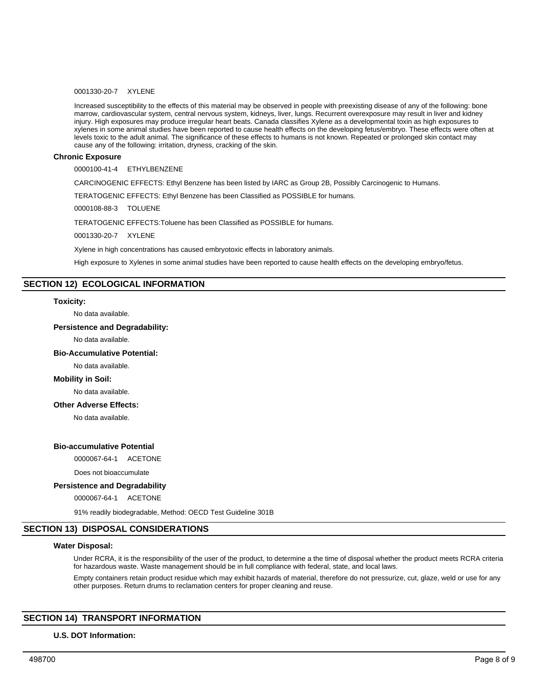# 0001330-20-7 XYLENE

Increased susceptibility to the effects of this material may be observed in people with preexisting disease of any of the following: bone marrow, cardiovascular system, central nervous system, kidneys, liver, lungs. Recurrent overexposure may result in liver and kidney injury. High exposures may produce irregular heart beats. Canada classifies Xylene as a developmental toxin as high exposures to xylenes in some animal studies have been reported to cause health effects on the developing fetus/embryo. These effects were often at levels toxic to the adult animal. The significance of these effects to humans is not known. Repeated or prolonged skin contact may cause any of the following: irritation, dryness, cracking of the skin.

# **Chronic Exposure**

0000100-41-4 ETHYLBENZENE

CARCINOGENIC EFFECTS: Ethyl Benzene has been listed by IARC as Group 2B, Possibly Carcinogenic to Humans.

TERATOGENIC EFFECTS: Ethyl Benzene has been Classified as POSSIBLE for humans.

0000108-88-3 TOLUENE

TERATOGENIC EFFECTS:Toluene has been Classified as POSSIBLE for humans.

0001330-20-7 XYLENE

Xylene in high concentrations has caused embryotoxic effects in laboratory animals.

High exposure to Xylenes in some animal studies have been reported to cause health effects on the developing embryo/fetus.

# **SECTION 12) ECOLOGICAL INFORMATION**

#### **Toxicity:**

No data available.

# **Persistence and Degradability:**

No data available.

# **Bio-Accumulative Potential:**

No data available.

# **Mobility in Soil:**

No data available.

# **Other Adverse Effects:**

No data available.

# **Bio-accumulative Potential**

0000067-64-1 ACETONE

Does not bioaccumulate

#### **Persistence and Degradability**

0000067-64-1 ACETONE

91% readily biodegradable, Method: OECD Test Guideline 301B

# **SECTION 13) DISPOSAL CONSIDERATIONS**

# **Water Disposal:**

Under RCRA, it is the responsibility of the user of the product, to determine a the time of disposal whether the product meets RCRA criteria for hazardous waste. Waste management should be in full compliance with federal, state, and local laws.

Empty containers retain product residue which may exhibit hazards of material, therefore do not pressurize, cut, glaze, weld or use for any other purposes. Return drums to reclamation centers for proper cleaning and reuse.

# **SECTION 14) TRANSPORT INFORMATION**

# **U.S. DOT Information:**